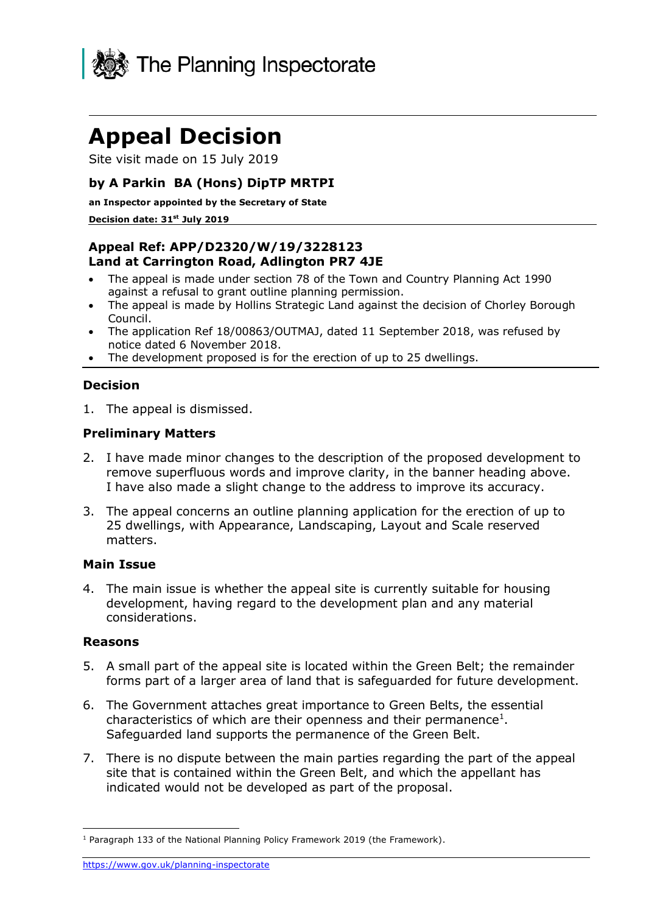

# **Appeal Decision**

Site visit made on 15 July 2019

## **by A Parkin BA (Hons) DipTP MRTPI**

**an Inspector appointed by the Secretary of State** 

#### **Decision date: 31st July 2019**

## **Appeal Ref: APP/D2320/W/19/3228123 Land at Carrington Road, Adlington PR7 4JE**

- The appeal is made under section 78 of the Town and Country Planning Act 1990 against a refusal to grant outline planning permission.
- The appeal is made by Hollins Strategic Land against the decision of Chorley Borough Council.
- The application Ref 18/00863/OUTMAJ, dated 11 September 2018, was refused by notice dated 6 November 2018.
- The development proposed is for the erection of up to 25 dwellings.

### **Decision**

1. The appeal is dismissed.

#### **Preliminary Matters**

- 2. I have made minor changes to the description of the proposed development to remove superfluous words and improve clarity, in the banner heading above. I have also made a slight change to the address to improve its accuracy.
- 3. The appeal concerns an outline planning application for the erection of up to 25 dwellings, with Appearance, Landscaping, Layout and Scale reserved matters.

#### **Main Issue**

4. The main issue is whether the appeal site is currently suitable for housing development, having regard to the development plan and any material considerations.

#### **Reasons**

- 5. A small part of the appeal site is located within the Green Belt; the remainder forms part of a larger area of land that is safeguarded for future development.
- 6. The Government attaches great importance to Green Belts, the essential characteristics of which are their openness and their permanence<sup>1</sup>. Safeguarded land supports the permanence of the Green Belt.
- 7. There is no dispute between the main parties regarding the part of the appeal site that is contained within the Green Belt, and which the appellant has indicated would not be developed as part of the proposal.

<sup>-</sup><sup>1</sup> Paragraph 133 of the National Planning Policy Framework 2019 (the Framework).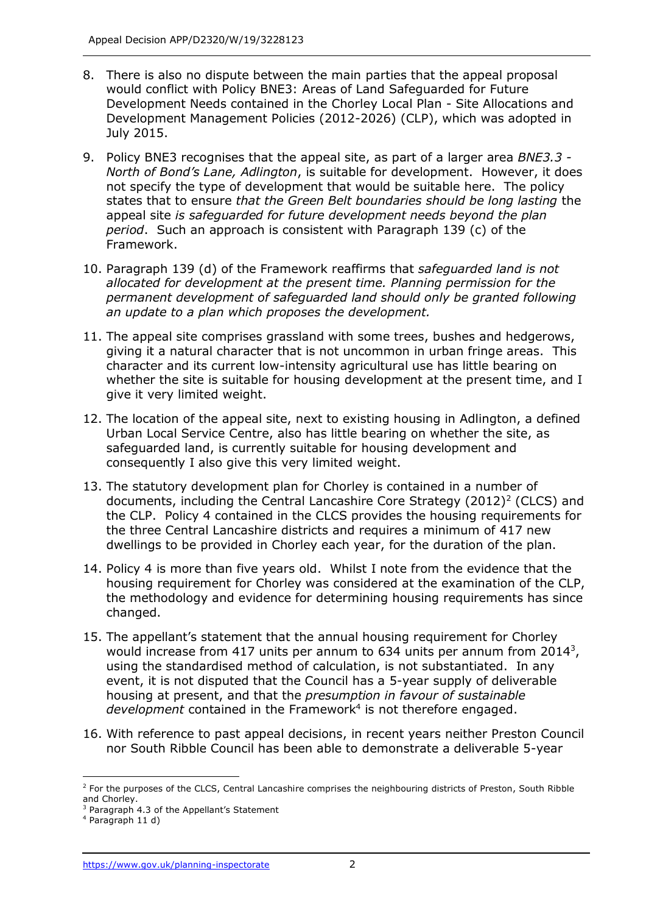- 8. There is also no dispute between the main parties that the appeal proposal would conflict with Policy BNE3: Areas of Land Safeguarded for Future Development Needs contained in the Chorley Local Plan - Site Allocations and Development Management Policies (2012-2026) (CLP), which was adopted in July 2015.
- 9. Policy BNE3 recognises that the appeal site, as part of a larger area *BNE3.3 - North of Bond's Lane, Adlington*, is suitable for development. However, it does not specify the type of development that would be suitable here. The policy states that to ensure *that the Green Belt boundaries should be long lasting* the appeal site *is safeguarded for future development needs beyond the plan period*. Such an approach is consistent with Paragraph 139 (c) of the Framework.
- 10. Paragraph 139 (d) of the Framework reaffirms that *safeguarded land is not allocated for development at the present time. Planning permission for the permanent development of safeguarded land should only be granted following an update to a plan which proposes the development.*
- 11. The appeal site comprises grassland with some trees, bushes and hedgerows, giving it a natural character that is not uncommon in urban fringe areas. This character and its current low-intensity agricultural use has little bearing on whether the site is suitable for housing development at the present time, and I give it very limited weight.
- 12. The location of the appeal site, next to existing housing in Adlington, a defined Urban Local Service Centre, also has little bearing on whether the site, as safeguarded land, is currently suitable for housing development and consequently I also give this very limited weight.
- 13. The statutory development plan for Chorley is contained in a number of documents, including the Central Lancashire Core Strategy (2012)<sup>2</sup> (CLCS) and the CLP. Policy 4 contained in the CLCS provides the housing requirements for the three Central Lancashire districts and requires a minimum of 417 new dwellings to be provided in Chorley each year, for the duration of the plan.
- 14. Policy 4 is more than five years old. Whilst I note from the evidence that the housing requirement for Chorley was considered at the examination of the CLP, the methodology and evidence for determining housing requirements has since changed.
- 15. The appellant's statement that the annual housing requirement for Chorley would increase from 417 units per annum to 634 units per annum from 2014<sup>3</sup>, using the standardised method of calculation, is not substantiated. In any event, it is not disputed that the Council has a 5-year supply of deliverable housing at present, and that the *presumption in favour of sustainable*  development contained in the Framework<sup>4</sup> is not therefore engaged.
- 16. With reference to past appeal decisions, in recent years neither Preston Council nor South Ribble Council has been able to demonstrate a deliverable 5-year

j

 $2$  For the purposes of the CLCS, Central Lancashire comprises the neighbouring districts of Preston, South Ribble and Chorley.

<sup>&</sup>lt;sup>3</sup> Paragraph 4.3 of the Appellant's Statement

<sup>4</sup> Paragraph 11 d)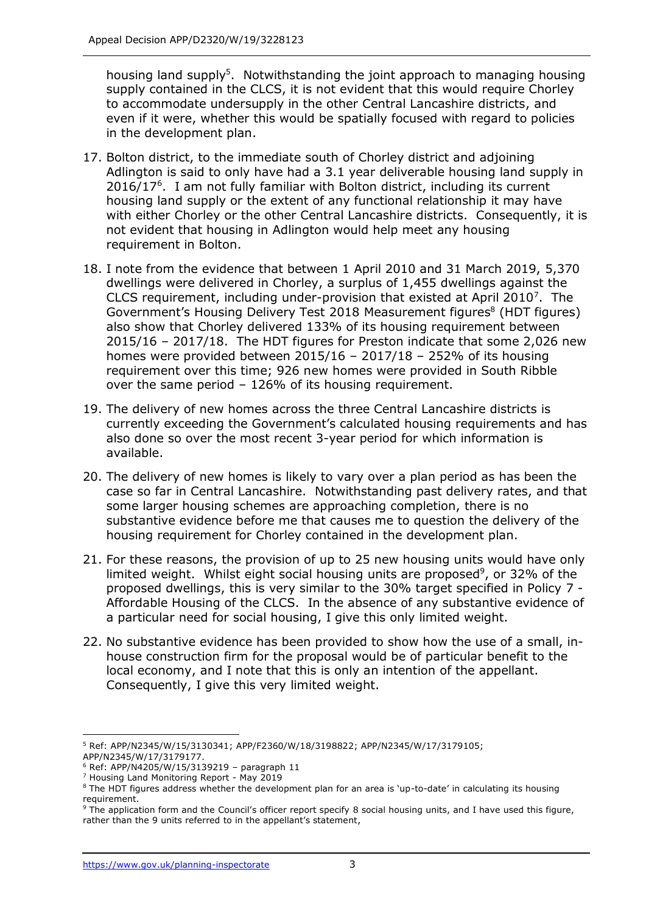housing land supply<sup>5</sup>. Notwithstanding the joint approach to managing housing supply contained in the CLCS, it is not evident that this would require Chorley to accommodate undersupply in the other Central Lancashire districts, and even if it were, whether this would be spatially focused with regard to policies in the development plan.

- 17. Bolton district, to the immediate south of Chorley district and adjoining Adlington is said to only have had a 3.1 year deliverable housing land supply in 2016/17<sup>6</sup> . I am not fully familiar with Bolton district, including its current housing land supply or the extent of any functional relationship it may have with either Chorley or the other Central Lancashire districts. Consequently, it is not evident that housing in Adlington would help meet any housing requirement in Bolton.
- 18. I note from the evidence that between 1 April 2010 and 31 March 2019, 5,370 dwellings were delivered in Chorley, a surplus of 1,455 dwellings against the CLCS requirement, including under-provision that existed at April 2010<sup>7</sup>. The Government's Housing Delivery Test 2018 Measurement figures<sup>8</sup> (HDT figures) also show that Chorley delivered 133% of its housing requirement between 2015/16 – 2017/18. The HDT figures for Preston indicate that some 2,026 new homes were provided between 2015/16 – 2017/18 – 252% of its housing requirement over this time; 926 new homes were provided in South Ribble over the same period – 126% of its housing requirement.
- 19. The delivery of new homes across the three Central Lancashire districts is currently exceeding the Government's calculated housing requirements and has also done so over the most recent 3-year period for which information is available.
- 20. The delivery of new homes is likely to vary over a plan period as has been the case so far in Central Lancashire. Notwithstanding past delivery rates, and that some larger housing schemes are approaching completion, there is no substantive evidence before me that causes me to question the delivery of the housing requirement for Chorley contained in the development plan.
- 21. For these reasons, the provision of up to 25 new housing units would have only limited weight. Whilst eight social housing units are proposed<sup>9</sup>, or 32% of the proposed dwellings, this is very similar to the 30% target specified in Policy 7 - Affordable Housing of the CLCS. In the absence of any substantive evidence of a particular need for social housing, I give this only limited weight.
- 22. No substantive evidence has been provided to show how the use of a small, inhouse construction firm for the proposal would be of particular benefit to the local economy, and I note that this is only an intention of the appellant. Consequently, I give this very limited weight.

j

<sup>5</sup> Ref: APP/N2345/W/15/3130341; APP/F2360/W/18/3198822; APP/N2345/W/17/3179105; APP/N2345/W/17/3179177.

 $6$  Ref: APP/N4205/W/15/3139219 - paragraph 11

<sup>7</sup> Housing Land Monitoring Report - May 2019

<sup>&</sup>lt;sup>8</sup> The HDT figures address whether the development plan for an area is 'up-to-date' in calculating its housing requirement.

<sup>&</sup>lt;sup>9</sup> The application form and the Council's officer report specify 8 social housing units, and I have used this figure, rather than the 9 units referred to in the appellant's statement,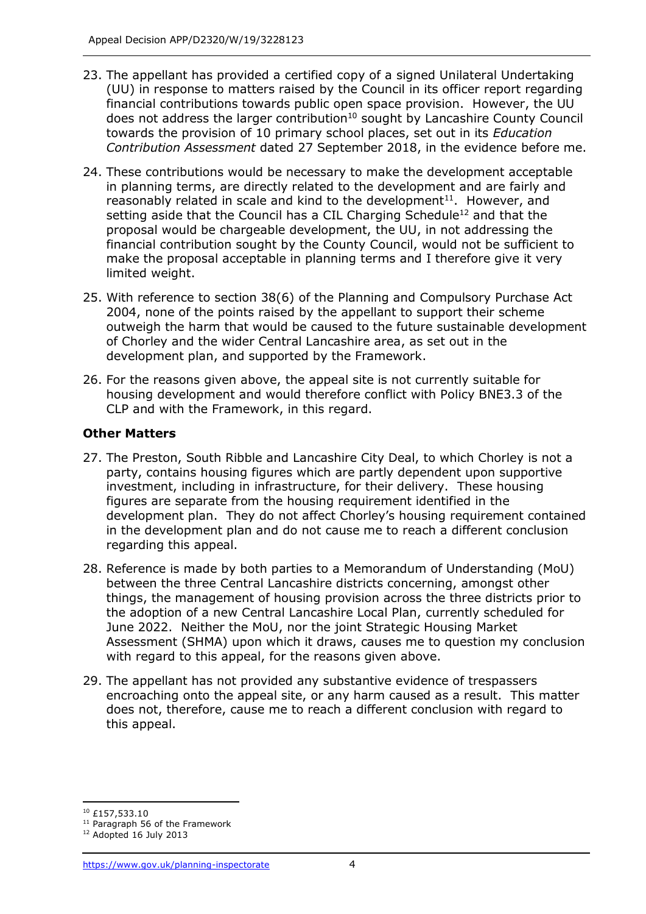- 23. The appellant has provided a certified copy of a signed Unilateral Undertaking (UU) in response to matters raised by the Council in its officer report regarding financial contributions towards public open space provision. However, the UU does not address the larger contribution<sup>10</sup> sought by Lancashire County Council towards the provision of 10 primary school places, set out in its *Education Contribution Assessment* dated 27 September 2018, in the evidence before me.
- 24. These contributions would be necessary to make the development acceptable in planning terms, are directly related to the development and are fairly and reasonably related in scale and kind to the development $11$ . However, and setting aside that the Council has a CIL Charging Schedule<sup>12</sup> and that the proposal would be chargeable development, the UU, in not addressing the financial contribution sought by the County Council, would not be sufficient to make the proposal acceptable in planning terms and I therefore give it very limited weight.
- 25. With reference to section 38(6) of the Planning and Compulsory Purchase Act 2004, none of the points raised by the appellant to support their scheme outweigh the harm that would be caused to the future sustainable development of Chorley and the wider Central Lancashire area, as set out in the development plan, and supported by the Framework.
- 26. For the reasons given above, the appeal site is not currently suitable for housing development and would therefore conflict with Policy BNE3.3 of the CLP and with the Framework, in this regard.

## **Other Matters**

- 27. The Preston, South Ribble and Lancashire City Deal, to which Chorley is not a party, contains housing figures which are partly dependent upon supportive investment, including in infrastructure, for their delivery. These housing figures are separate from the housing requirement identified in the development plan. They do not affect Chorley's housing requirement contained in the development plan and do not cause me to reach a different conclusion regarding this appeal.
- 28. Reference is made by both parties to a Memorandum of Understanding (MoU) between the three Central Lancashire districts concerning, amongst other things, the management of housing provision across the three districts prior to the adoption of a new Central Lancashire Local Plan, currently scheduled for June 2022. Neither the MoU, nor the joint Strategic Housing Market Assessment (SHMA) upon which it draws, causes me to question my conclusion with regard to this appeal, for the reasons given above.
- 29. The appellant has not provided any substantive evidence of trespassers encroaching onto the appeal site, or any harm caused as a result. This matter does not, therefore, cause me to reach a different conclusion with regard to this appeal.

 $\overline{a}$ <sup>10</sup> £157,533.10

<sup>&</sup>lt;sup>11</sup> Paragraph 56 of the Framework

<sup>12</sup> Adopted 16 July 2013